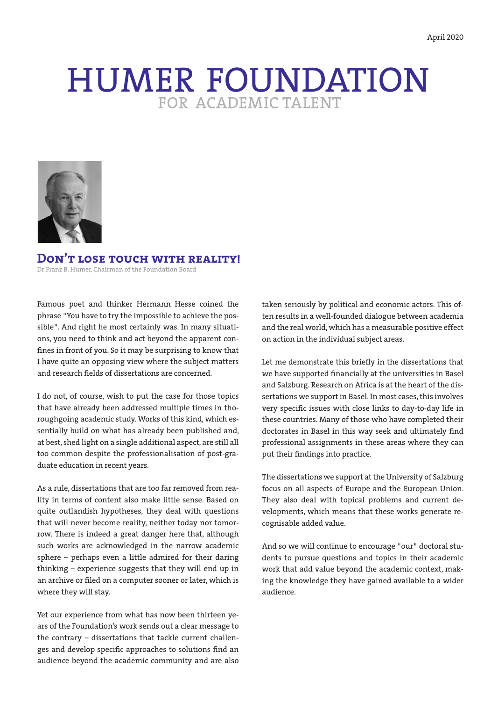# HUMER FOUNDATION



**Don't lose touch with reality!** Dr Franz B. Humer, Chairman of the Foundation Board

Famous poet and thinker Hermann Hesse coined the phrase "You have to try the impossible to achieve the possible". And right he most certainly was. In many situations, you need to think and act beyond the apparent confines in front of you. So it may be surprising to know that I have quite an opposing view where the subject matters and research fields of dissertations are concerned.

I do not, of course, wish to put the case for those topics that have already been addressed multiple times in thoroughgoing academic study. Works of this kind, which essentially build on what has already been published and, at best, shed light on a single additional aspect, are still all too common despite the professionalisation of post-graduate education in recent years.

As a rule, dissertations that are too far removed from reality in terms of content also make little sense. Based on quite outlandish hypotheses, they deal with questions that will never become reality, neither today nor tomorrow. There is indeed a great danger here that, although such works are acknowledged in the narrow academic sphere – perhaps even a little admired for their daring thinking – experience suggests that they will end up in an archive or filed on a computer sooner or later, which is where they will stay.

Yet our experience from what has now been thirteen years of the Foundation's work sends out a clear message to the contrary – dissertations that tackle current challenges and develop specific approaches to solutions find an audience beyond the academic community and are also

taken seriously by political and economic actors. This often results in a well-founded dialogue between academia and the real world, which has a measurable positive effect on action in the individual subject areas.

Let me demonstrate this briefly in the dissertations that we have supported financially at the universities in Basel and Salzburg. Research on Africa is at the heart of the dissertations we support in Basel. In most cases, this involves very specific issues with close links to day-to-day life in these countries. Many of those who have completed their doctorates in Basel in this way seek and ultimately find professional assignments in these areas where they can put their findings into practice.

The dissertations we support at the University of Salzburg focus on all aspects of Europe and the European Union. They also deal with topical problems and current developments, which means that these works generate recognisable added value.

And so we will continue to encourage "our" doctoral students to pursue questions and topics in their academic work that add value beyond the academic context, making the knowledge they have gained available to a wider audience.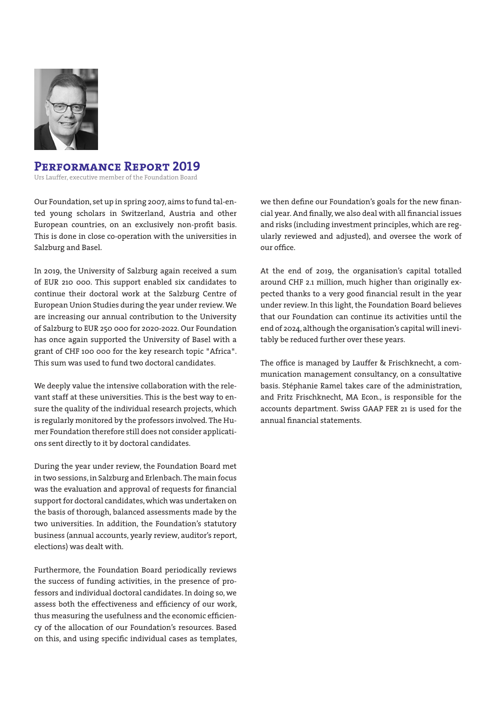

# **Performance Report 2019**

Urs Lauffer, executive member of the Foundation Board

Our Foundation, set up in spring 2007, aims to fund tal-ented young scholars in Switzerland, Austria and other European countries, on an exclusively non-profit basis. This is done in close co-operation with the universities in Salzburg and Basel.

In 2019, the University of Salzburg again received a sum of EUR 210 000. This support enabled six candidates to continue their doctoral work at the Salzburg Centre of European Union Studies during the year under review. We are increasing our annual contribution to the University of Salzburg to EUR 250 000 for 2020-2022. Our Foundation has once again supported the University of Basel with a grant of CHF 100 000 for the key research topic "Africa". This sum was used to fund two doctoral candidates.

We deeply value the intensive collaboration with the relevant staff at these universities. This is the best way to ensure the quality of the individual research projects, which is regularly monitored by the professors involved. The Humer Foundation therefore still does not consider applications sent directly to it by doctoral candidates.

During the year under review, the Foundation Board met in two sessions, in Salzburg and Erlenbach. The main focus was the evaluation and approval of requests for financial support for doctoral candidates, which was undertaken on the basis of thorough, balanced assessments made by the two universities. In addition, the Foundation's statutory business (annual accounts, yearly review, auditor's report, elections) was dealt with.

Furthermore, the Foundation Board periodically reviews the success of funding activities, in the presence of professors and individual doctoral candidates. In doing so, we assess both the effectiveness and efficiency of our work, thus measuring the usefulness and the economic efficiency of the allocation of our Foundation's resources. Based on this, and using specific individual cases as templates,

we then define our Foundation's goals for the new financial year. And finally, we also deal with all financial issues and risks (including investment principles, which are regularly reviewed and adjusted), and oversee the work of our office.

At the end of 2019, the organisation's capital totalled around CHF 2.1 million, much higher than originally expected thanks to a very good financial result in the year under review. In this light, the Foundation Board believes that our Foundation can continue its activities until the end of 2024, although the organisation's capital will inevitably be reduced further over these years.

The office is managed by Lauffer & Frischknecht, a communication management consultancy, on a consultative basis. Stéphanie Ramel takes care of the administration, and Fritz Frischknecht, MA Econ., is responsible for the accounts department. Swiss GAAP FER 21 is used for the annual financial statements.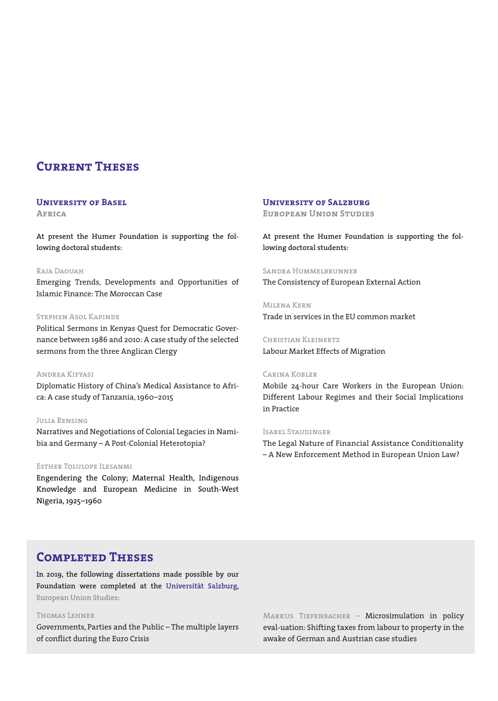# **Current Theses**

## **University of Basel**

**Africa**

**At present the Humer Foundation is supporting the following doctoral students:**

### Raja Daouah

Emerging Trends, Developments and Opportunities of Islamic Finance: The Moroccan Case

## Stephen Asol Kapinde

Political Sermons in Kenyas Quest for Democratic Governance between 1986 and 2010: A case study of the selected sermons from the three Anglican Clergy

Andrea Kifyasi Diplomatic History of China's Medical Assistance to Africa: A case study of Tanzania, 1960–2015

#### Julia Rensing

Narratives and Negotiations of Colonial Legacies in Namibia and Germany – A Post-Colonial Heterotopia?

#### Esther Tolulope Ilesanmi

Engendering the Colony; Maternal Health, Indigenous Knowledge and European Medicine in South-West Nigeria, 1925–1960

## **University of Salzburg**

**European Union Studies**

**At present the Humer Foundation is supporting the following doctoral students:**

# SANDRA HUMMELBRUNNER

The Consistency of European External Action

Milena Kern Trade in services in the EU common market

Christian Kleinertz Labour Market Effects of Migration

#### Carina Kobler

Mobile 24-hour Care Workers in the European Union: Different Labour Regimes and their Social Implications in Practice

#### Isabel Staudinger

The Legal Nature of Financial Assistance Conditionality – A New Enforcement Method in European Union Law?

# **Completed Theses**

**In 2019, the following dissertations made possible by our Foundation were completed at the Universität Salzburg, European Union Studies:**

## Thomas Lehner

Governments, Parties and the Public – The multiple layers of conflict during the Euro Crisis

MARKUS TIEFENBACHER - Microsimulation in policy eval-uation: Shifting taxes from labour to property in the awake of German and Austrian case studies